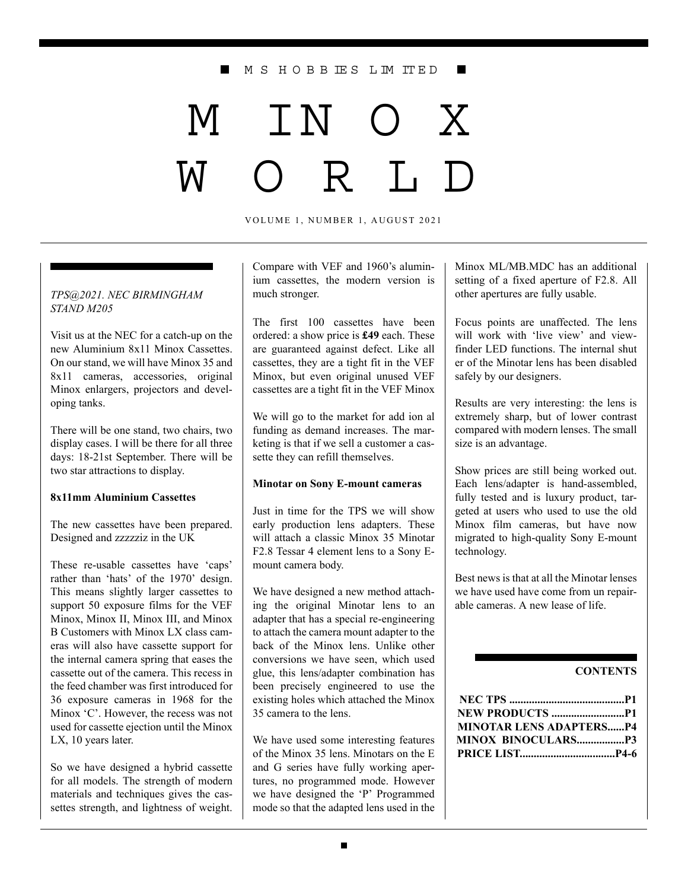#### M S H O B B IE S L IM IT E D

# M IN O X  $T_{\rm b}$

VOLUME 1, NUMBER 1, AUGUST 2021

#### *TPS@2021. NEC BIRMINGHAM STAND M205*

Visit us at the NEC for a catch-up on the new Aluminium 8x11 Minox Cassettes. On our stand, we will have Minox 35 and 8x11 cameras, accessories, original Minox enlargers, projectors and developing tanks.

There will be one stand, two chairs, two display cases. I will be there for all three days: 18-21st September. There will be two star attractions to display.

#### **8x11mm Aluminium Cassettes**

The new cassettes have been prepared. Designed and zzzzziz in the UK

These re-usable cassettes have 'caps' rather than 'hats' of the 1970' design. This means slightly larger cassettes to support 50 exposure films for the VEF Minox, Minox II, Minox III, and Minox B Customers with Minox LX class cameras will also have cassette support for the internal camera spring that eases the cassette out of the camera. This recess in the feed chamber was first introduced for 36 exposure cameras in 1968 for the Minox 'C'. However, the recess was not used for cassette ejection until the Minox LX, 10 years later.

So we have designed a hybrid cassette for all models. The strength of modern materials and techniques gives the cassettes strength, and lightness of weight.

Compare with VEF and 1960's aluminium cassettes, the modern version is much stronger.

The first 100 cassettes have been ordered: a show price is **£49** each. These are guaranteed against defect. Like all cassettes, they are a tight fit in the VEF Minox, but even original unused VEF cassettes are a tight fit in the VEF Minox

We will go to the market for add ion al funding as demand increases. The marketing is that if we sell a customer a cassette they can refill themselves.

#### **Minotar on Sony E-mount cameras**

Just in time for the TPS we will show early production lens adapters. These will attach a classic Minox 35 Minotar F2.8 Tessar 4 element lens to a Sony Emount camera body.

We have designed a new method attaching the original Minotar lens to an adapter that has a special re-engineering to attach the camera mount adapter to the back of the Minox lens. Unlike other conversions we have seen, which used glue, this lens/adapter combination has been precisely engineered to use the existing holes which attached the Minox 35 camera to the lens.

We have used some interesting features of the Minox 35 lens. Minotars on the E and G series have fully working apertures, no programmed mode. However we have designed the 'P' Programmed mode so that the adapted lens used in the

Minox ML/MB.MDC has an additional setting of a fixed aperture of F2.8. All other apertures are fully usable.

Focus points are unaffected. The lens will work with 'live view' and viewfinder LED functions. The internal shut er of the Minotar lens has been disabled safely by our designers.

Results are very interesting: the lens is extremely sharp, but of lower contrast compared with modern lenses. The small size is an advantage.

Show prices are still being worked out. Each lens/adapter is hand-assembled, fully tested and is luxury product, targeted at users who used to use the old Minox film cameras, but have now migrated to high-quality Sony E-mount technology.

Best news is that at all the Minotar lenses we have used have come from un repairable cameras. A new lease of life.

#### **CONTENTS**

| <b>MINOTAR LENS ADAPTERSP4</b> |  |
|--------------------------------|--|
| <b>MINOX BINOCULARSP3</b>      |  |
|                                |  |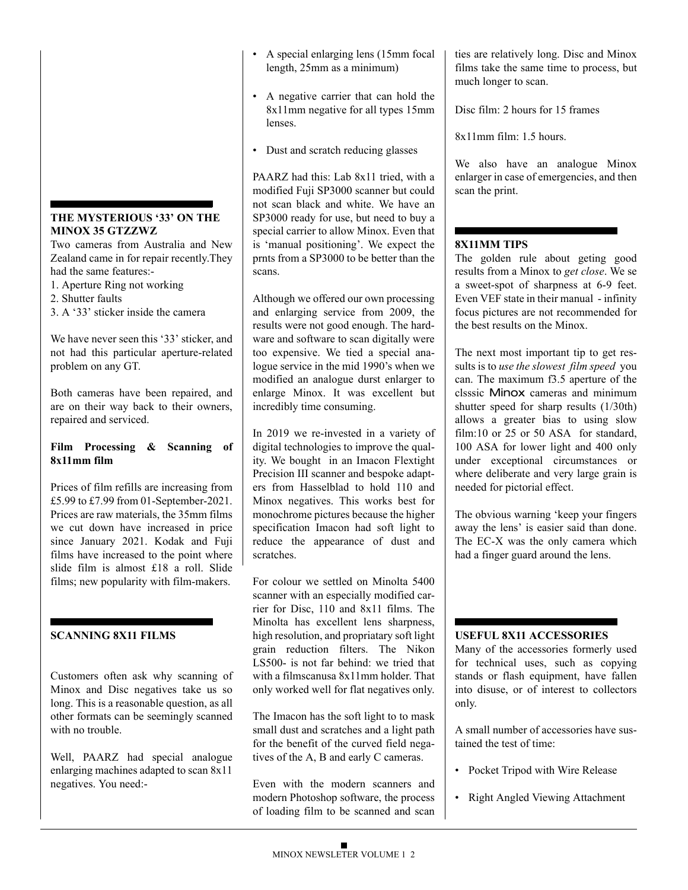## **THE MYSTERIOUS '33' ON THE MINOX 35 GTZZWZ**

Two cameras from Australia and New Zealand came in for repair recently.They had the same features:-

- 1. Aperture Ring not working
- 2. Shutter faults
- 3. A '33' sticker inside the camera

We have never seen this '33' sticker, and not had this particular aperture-related problem on any GT.

Both cameras have been repaired, and are on their way back to their owners, repaired and serviced.

## **Film Processing & Scanning of 8x11mm film**

Prices of film refills are increasing from £5.99 to £7.99 from 01-September-2021. Prices are raw materials, the 35mm films we cut down have increased in price since January 2021. Kodak and Fuji films have increased to the point where slide film is almost £18 a roll. Slide films; new popularity with film-makers.

# **SCANNING 8X11 FILMS**

Customers often ask why scanning of Minox and Disc negatives take us so long. This is a reasonable question, as all other formats can be seemingly scanned with no trouble.

Well, PAARZ had special analogue enlarging machines adapted to scan 8x11 negatives. You need:-

- A special enlarging lens (15mm focal length, 25mm as a minimum)
- A negative carrier that can hold the 8x11mm negative for all types 15mm lenses.
- Dust and scratch reducing glasses

PAARZ had this: Lab 8x11 tried, with a modified Fuji SP3000 scanner but could not scan black and white. We have an SP3000 ready for use, but need to buy a special carrier to allow Minox. Even that is 'manual positioning'. We expect the prnts from a SP3000 to be better than the scans.

Although we offered our own processing and enlarging service from 2009, the results were not good enough. The hardware and software to scan digitally were too expensive. We tied a special analogue service in the mid 1990's when we modified an analogue durst enlarger to enlarge Minox. It was excellent but incredibly time consuming.

In 2019 we re-invested in a variety of digital technologies to improve the quality. We bought in an Imacon Flextight Precision III scanner and bespoke adapters from Hasselblad to hold 110 and Minox negatives. This works best for monochrome pictures because the higher specification Imacon had soft light to reduce the appearance of dust and scratches.

For colour we settled on Minolta 5400 scanner with an especially modified carrier for Disc, 110 and 8x11 films. The Minolta has excellent lens sharpness, high resolution, and propriatary soft light grain reduction filters. The Nikon LS500- is not far behind: we tried that with a filmscanusa 8x11mm holder. That only worked well for flat negatives only.

The Imacon has the soft light to to mask small dust and scratches and a light path for the benefit of the curved field negatives of the A, B and early C cameras.

Even with the modern scanners and modern Photoshop software, the process of loading film to be scanned and scan

ties are relatively long. Disc and Minox films take the same time to process, but much longer to scan.

Disc film: 2 hours for 15 frames

8x11mm film: 1.5 hours.

We also have an analogue Minox enlarger in case of emergencies, and then scan the print.

## **8X11MM TIPS**

The golden rule about geting good results from a Minox to *get close*. We se a sweet-spot of sharpness at 6-9 feet. Even VEF state in their manual - infinity focus pictures are not recommended for the best results on the Minox.

The next most important tip to get ressults is to *use the slowest film speed* you can. The maximum f3.5 aperture of the clsssic Minox cameras and minimum shutter speed for sharp results (1/30th) allows a greater bias to using slow film:10 or 25 or 50 ASA for standard, 100 ASA for lower light and 400 only under exceptional circumstances or where deliberate and very large grain is needed for pictorial effect.

The obvious warning 'keep your fingers away the lens' is easier said than done. The EC-X was the only camera which had a finger guard around the lens.

#### **USEFUL 8X11 ACCESSORIES**

Many of the accessories formerly used for technical uses, such as copying stands or flash equipment, have fallen into disuse, or of interest to collectors only.

A small number of accessories have sustained the test of time:

- Pocket Tripod with Wire Release
- Right Angled Viewing Attachment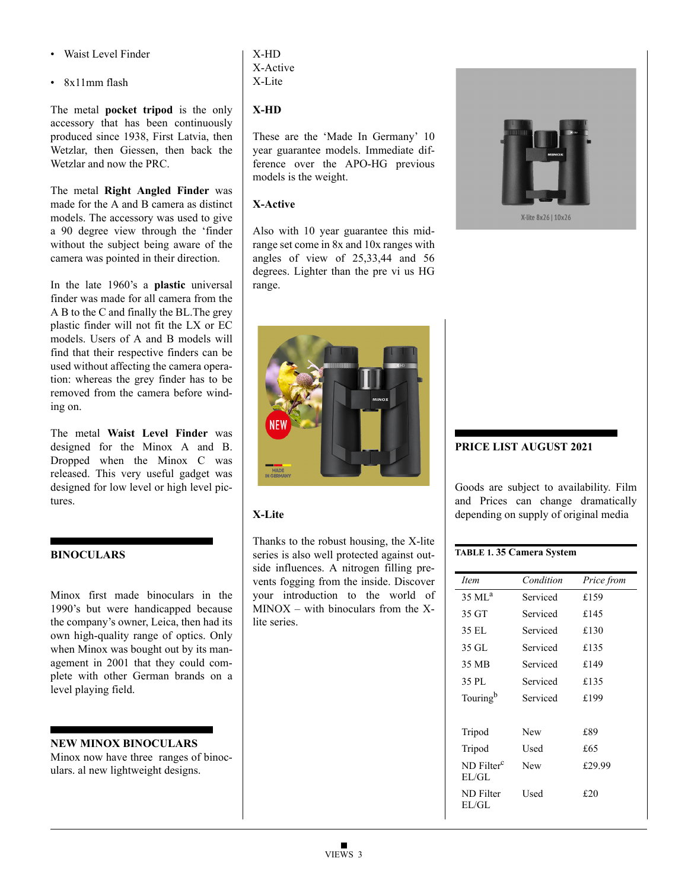- Waist Level Finder
- 8x11mm flash

The metal **pocket tripod** is the only accessory that has been continuously produced since 1938, First Latvia, then Wetzlar, then Giessen, then back the Wetzlar and now the PRC.

The metal **Right Angled Finder** was made for the A and B camera as distinct models. The accessory was used to give a 90 degree view through the 'finder without the subject being aware of the camera was pointed in their direction.

In the late 1960's a **plastic** universal finder was made for all camera from the A B to the C and finally the BL.The grey plastic finder will not fit the LX or EC models. Users of A and B models will find that their respective finders can be used without affecting the camera operation: whereas the grey finder has to be removed from the camera before winding on.

The metal **Waist Level Finder** was designed for the Minox A and B. Dropped when the Minox C was released. This very useful gadget was designed for low level or high level pictures.

#### **BINOCULARS**

Minox first made binoculars in the 1990's but were handicapped because the company's owner, Leica, then had its own high-quality range of optics. Only when Minox was bought out by its management in 2001 that they could complete with other German brands on a level playing field.

#### **NEW MINOX BINOCULARS**

Minox now have three ranges of binoculars. al new lightweight designs.

## X-HD X-Active X-Lite

# **X-HD**

These are the 'Made In Germany' 10 year guarantee models. Immediate difference over the APO-HG previous models is the weight.

# **X-Active**

Also with 10 year guarantee this midrange set come in 8x and 10x ranges with angles of view of 25,33,44 and 56 degrees. Lighter than the pre vi us HG range.



# **X-Lite**

Thanks to the robust housing, the X-lite series is also well protected against outside influences. A nitrogen filling prevents fogging from the inside. Discover your introduction to the world of  $MINOX - with binoculars from the X$ lite series.



X-lite 8x26 | 10x26

# **PRICE LIST AUGUST 2021**

Goods are subject to availability. Film and Prices can change dramatically depending on supply of original media

#### **TABLE 1. 35 Camera System**

| <i>Item</i>                     | Condition  | Price from |
|---------------------------------|------------|------------|
| $35 \mathrm{M}$ L <sup>a</sup>  | Serviced   | £159       |
| 35 GT                           | Serviced   | £145       |
| 35 EL                           | Serviced   | £130       |
| 35 GL                           | Serviced   | £135       |
| 35 MB                           | Serviced   | £149       |
| 35 PL                           | Serviced   | £135       |
| Touring <sup>b</sup>            | Serviced   | £199       |
|                                 |            |            |
| Tripod                          | <b>New</b> | £89        |
| Tripod                          | Used       | £65        |
| ND Filter <sup>c</sup><br>E1/GL | New        | £29.99     |
| <b>ND</b> Filter<br>EL/GL       | Used       | f20        |
|                                 |            |            |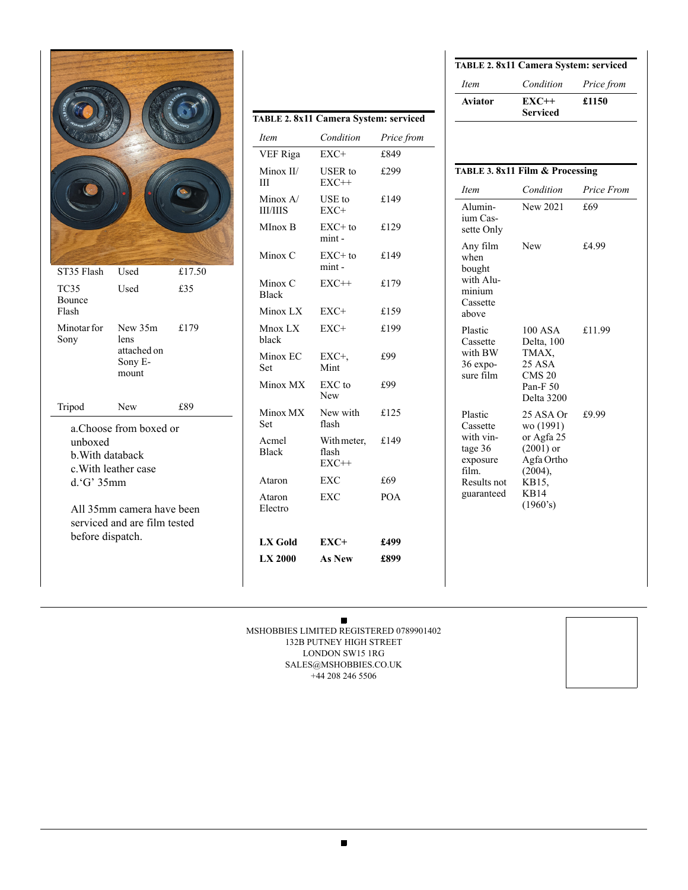|                             |                                                           |        | TABLE 2.<br><i>Item</i><br>VEF Rig<br>Minox I<br>Ш<br>Minox $\angle$<br><b>III/IIIS</b><br>MInox I<br>Minox O |
|-----------------------------|-----------------------------------------------------------|--------|---------------------------------------------------------------------------------------------------------------|
| ST35 Flash                  | Used                                                      | £17.50 | Minox O                                                                                                       |
| TC35<br>Bounce              | Used                                                      | £35    | <b>Black</b>                                                                                                  |
| Flash                       |                                                           |        | Minox I                                                                                                       |
| Minotar for<br>Sony         | New 35m<br>lens                                           | £179   | Mnox L<br>black                                                                                               |
|                             | attached on<br>Sony E-<br>mount                           |        | Minox <b>E</b><br>Set                                                                                         |
|                             |                                                           |        | Minox N                                                                                                       |
| Tripod                      | <b>New</b><br>a.Choose from boxed or                      | £89    | Minox N<br><b>Set</b>                                                                                         |
| unboxed<br>b. With databack | c. With leather case                                      |        | Acmel<br><b>Black</b>                                                                                         |
| d.'G' 35mm                  |                                                           |        | Ataron                                                                                                        |
|                             | All 35mm camera have been<br>serviced and are film tested |        | Ataron<br>Electro                                                                                             |
| before dispatch.            |                                                           |        | LX Gol                                                                                                        |
|                             |                                                           |        |                                                                                                               |

| TABLE 2.8x11 Camera System: serviced |                                 |            |
|--------------------------------------|---------------------------------|------------|
| <i>Item</i>                          | Condition                       | Price from |
| VEF Riga                             | $EXC+$                          | £849       |
| Minox II/<br>Ш                       | USER to<br>$EXC++$              | £299       |
| Minox A/<br><b>III/IIIS</b>          | USE to<br>EXC+                  | £149       |
| MInox B                              | $EXC+$ to<br>mint-              | £129       |
| Minox C                              | $EXC+$ to<br>mint-              | £149       |
| Minox C<br><b>Black</b>              | $EXC++$                         | £179       |
| Minox LX                             | $EXC+$                          | £159       |
| Mnox LX<br>black                     | EXC+                            | £199       |
| Minox EC<br>Set                      | $EXC+$<br>Mint                  | £99        |
| Minox MX                             | EXC to<br>New                   | £99        |
| Minox MX<br>Set                      | New with<br>flash               | £125       |
| Acmel<br><b>Black</b>                | With meter,<br>flash<br>$EXC++$ | £149       |
| Ataron                               | EXC                             | £69        |
| Ataron<br>Electro                    | <b>EXC</b>                      | <b>POA</b> |
| LX Gold                              | $EXC+$                          | £499       |
| LX 2000                              | <b>As New</b>                   | £899       |

| <i>Item</i> | Condition                  | <i>Price from</i> |
|-------------|----------------------------|-------------------|
| Aviator     | $EXC++$<br><b>Serviced</b> | £1150             |

| TABLE 3. 8x11 Film & Processing                                                              |                                                                                                                  |            |
|----------------------------------------------------------------------------------------------|------------------------------------------------------------------------------------------------------------------|------------|
| <i>Item</i>                                                                                  | Condition                                                                                                        | Price From |
| Alumin-<br>ium Cas-<br>sette Only                                                            | New 2021                                                                                                         | £69        |
| Any film<br>when<br>bought<br>with Alu-<br>minium<br>Cassette<br>above                       | New                                                                                                              | £4.99      |
| Plastic<br>Cassette<br>with BW<br>$36$ expo-<br>sure film                                    | 100 ASA<br>Delta, 100<br>TMAX,<br>25 ASA<br><b>CMS 20</b><br>Pan-F <sub>50</sub><br>Delta 3200                   | £11.99     |
| Plastic<br>Cassette<br>with vin-<br>tage 36<br>exposure<br>film<br>Results not<br>guaranteed | 25 ASA Or<br>wo (1991)<br>or Agfa 25<br>$(2001)$ or<br>Agfa Ortho<br>(2004),<br>KB15.<br><b>KB14</b><br>(1960's) | £9.99      |
|                                                                                              |                                                                                                                  |            |

 $\blacksquare$ MSHOBBIES LIMITED REGISTERED 0789901402 132B PUTNEY HIGH STREET LONDON SW15 1RG SALES@MSHOBBIES.CO.UK +44 208 246 5506

 $\blacksquare$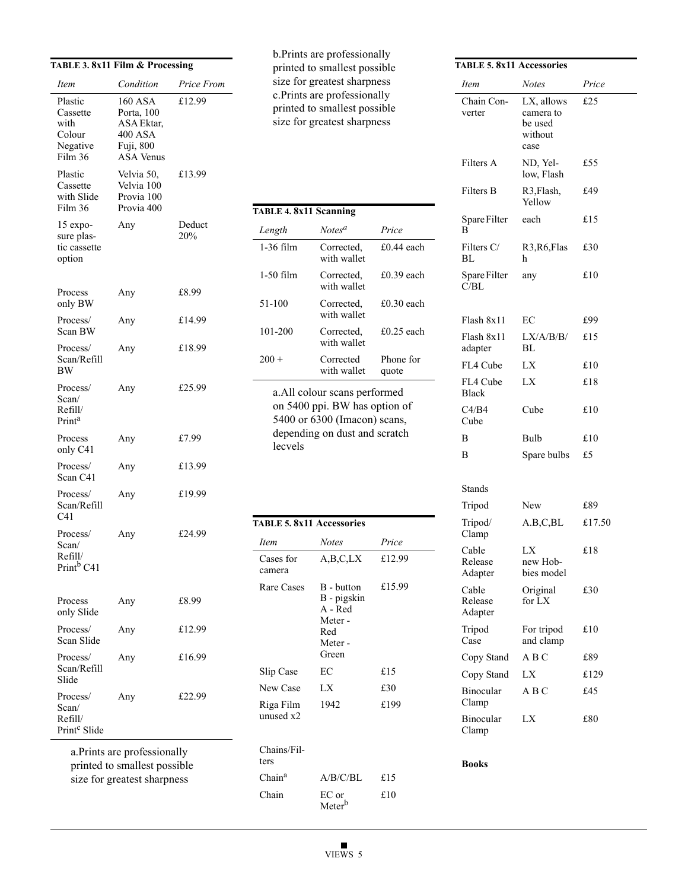|                                                              |                                                                                               | TABLE 3.8x11 Film & Processing |
|--------------------------------------------------------------|-----------------------------------------------------------------------------------------------|--------------------------------|
| Item                                                         | Condition                                                                                     | Price From                     |
| Plastic<br>Cassette<br>with<br>Colour<br>Negative<br>Film 36 | <b>160 ASA</b><br>Porta, 100<br>ASA Ektar,<br><b>400 ASA</b><br>Fuji, 800<br><b>ASA</b> Venus | £12.99                         |
| Plastic<br>Cassette<br>with Slide<br>Film 36                 | Velvia 50,<br>Velvia 100<br>Provia 100<br>Provia 400                                          | £13.99                         |
| 15 expo-<br>sure plas-<br>tic cassette<br>option             | Any                                                                                           | Deduct<br>20%                  |
| Process<br>only BW                                           | Any                                                                                           | £8.99                          |
| Process/<br>Scan BW                                          | Any                                                                                           | £14.99                         |
| Process/<br>Scan/Refill<br>BW                                | Any                                                                                           | £18.99                         |
| Process/<br>Scan/<br>Refill/<br>Print <sup>a</sup>           | Any                                                                                           | £25.99                         |
| Process<br>only C41                                          | Any                                                                                           | £7.99                          |
| Process/<br>Scan C41                                         | Any                                                                                           | £13.99                         |
| Process/<br>Scan/Refill<br>C41                               | Any                                                                                           | £19.99                         |
| Process/<br>Scan/<br>Refill/<br>Print <sup>b</sup> C41       | Any                                                                                           | £24.99                         |
| Process<br>only Slide                                        | Any                                                                                           | £8.99                          |
| Process/<br>Scan Slide                                       | Any                                                                                           | £12.99                         |
| Process/<br>Scan/Refill<br>Slide                             | Any                                                                                           | £16.99                         |
| Process/<br>Scan/<br>Refill/<br>Print <sup>c</sup> Slide     | Any                                                                                           | £22.99                         |

b.Prints are professionally printed to smallest possible size for greatest sharpness c.Prints are professionally printed to smallest possible size for greatest sharpness

| <b>TABLE 4. 8x11 Scanning</b>                                                                                                              |                           |                    |
|--------------------------------------------------------------------------------------------------------------------------------------------|---------------------------|--------------------|
| Length                                                                                                                                     | Notes <sup>a</sup>        | Price              |
| $1-36$ film                                                                                                                                | Corrected.<br>with wallet | £0.44 each         |
| 1-50 film                                                                                                                                  | Corrected,<br>with wallet | £0.39 each         |
| 51-100                                                                                                                                     | Corrected.<br>with wallet | £0.30 each         |
| 101-200                                                                                                                                    | Corrected.<br>with wallet | $£0.25$ each       |
| $200 +$                                                                                                                                    | Corrected<br>with wallet  | Phone for<br>quote |
| a. All colour scans performed<br>on 5400 ppi. BW has option of<br>5400 or 6300 (Imacon) scans,<br>depending on dust and scratch<br>lecvels |                           |                    |

| <b>TABLE 5. 8x11 Accessories</b> |                                                                            |        |
|----------------------------------|----------------------------------------------------------------------------|--------|
| <i>Item</i>                      | <b>Notes</b>                                                               | Price  |
| Cases for<br>camera              | A, B, C, LX                                                                | £12.99 |
| Rare Cases                       | B - button<br>B - pigskin<br>$A - Red$<br>Meter-<br>Red<br>Meter-<br>Green | £15.99 |
| Slip Case                        | ЕC                                                                         | £15    |
| New Case                         | LX                                                                         | £30    |
| Riga Film<br>unused x2           | 1942                                                                       | £199   |
| Chains/Fil-<br>ters              |                                                                            |        |
| Chain <sup>a</sup>               | A/B/C/BL                                                                   | £15    |
| Chain                            | $EC$ or<br>Meter                                                           | £10    |

| <b>TABLE 5. 8x11 Accessories</b> |                                                       |       |  |
|----------------------------------|-------------------------------------------------------|-------|--|
| <b>Item</b>                      | <b>Notes</b>                                          | Price |  |
| Chain Con-<br>verter             | LX, allows<br>camera to<br>be used<br>without<br>case | £25   |  |
| Filters A                        | ND, Yel-<br>low, Flash                                | £55   |  |
| <b>Filters B</b>                 | R3, Flash,<br>Yellow                                  | £49   |  |
| Spare Filter<br>R                | each                                                  | £15   |  |
| Filters C/<br>BL.                | R <sub>3</sub> , R <sub>6</sub> , Flas<br>h           | £30   |  |
| Spare Filter<br>C/RI             | any                                                   | £10   |  |
| Flash 8x11                       | EC                                                    | £99   |  |
| Flash 8x11<br>adapter            | LX/A/B/B/<br>BL                                       | £15   |  |
| FL4 Cube                         | LX                                                    | £10   |  |
| FL4 Cube<br><b>Black</b>         | LX                                                    | £18   |  |
| C4/B4<br>Cube                    | Cube                                                  | £10   |  |
| B                                | <b>Bulb</b>                                           | £10   |  |
| B                                | Spare bulbs                                           | £5    |  |

| Stands                      |                              |        |
|-----------------------------|------------------------------|--------|
| Tripod                      | New                          | £89    |
| Tripod/<br>Clamp            | A.B,C,BL                     | £17.50 |
| Cable<br>Release<br>Adapter | LX<br>new Hob-<br>bies model | £18    |
| Cable<br>Release<br>Adapter | Original<br>for $LX$         | £30    |
| Tripod<br>Case              | For tripod<br>and clamp      | £10    |
| Copy Stand                  | A B C                        | £89    |
| Copy Stand                  | LX                           | £129   |
| <b>Binocular</b><br>Clamp   | A B C                        | £45    |
| <b>Binocular</b><br>Clamp   | LX                           | £80    |

**Books**